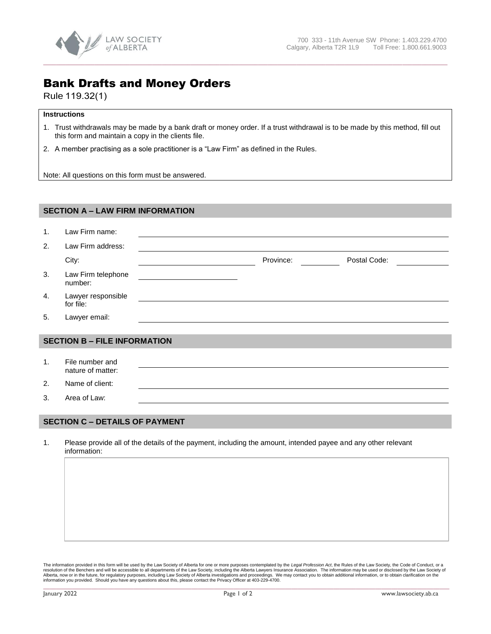

## Bank Drafts and Money Orders

Rule 119.32(1)

## **Instructions**

1. Trust withdrawals may be made by a bank draft or money order. If a trust withdrawal is to be made by this method, fill out this form and maintain a copy in the clients file.

**\_\_\_\_\_\_\_\_\_\_\_\_\_\_\_\_\_\_\_\_\_\_\_\_\_\_\_\_\_\_\_\_\_\_\_\_\_\_\_\_\_\_\_\_\_\_\_\_\_\_\_\_\_\_\_\_\_\_\_\_\_\_\_\_\_\_\_\_\_\_\_\_\_\_\_\_\_\_\_\_\_\_\_\_\_\_\_\_\_\_\_\_\_\_\_\_\_\_\_\_\_\_\_\_\_\_\_\_\_\_\_\_\_\_\_\_\_\_\_\_\_\_\_\_\_\_** 

2. A member practising as a sole practitioner is a "Law Firm" as defined in the Rules.

Note: All questions on this form must be answered.

| <b>SECTION A - LAW FIRM INFORMATION</b> |                                      |  |           |              |  |  |  |
|-----------------------------------------|--------------------------------------|--|-----------|--------------|--|--|--|
| 1 <sub>1</sub>                          | Law Firm name:                       |  |           |              |  |  |  |
| 2.                                      | Law Firm address:                    |  |           |              |  |  |  |
|                                         |                                      |  |           |              |  |  |  |
|                                         | City:                                |  | Province: | Postal Code: |  |  |  |
| 3.                                      | Law Firm telephone<br>number:        |  |           |              |  |  |  |
| 4.                                      | Lawyer responsible<br>for file:      |  |           |              |  |  |  |
| 5.                                      | Lawyer email:                        |  |           |              |  |  |  |
| <b>SECTION B - FILE INFORMATION</b>     |                                      |  |           |              |  |  |  |
|                                         |                                      |  |           |              |  |  |  |
| 1 <sub>1</sub>                          | File number and<br>nature of matter: |  |           |              |  |  |  |
| 2.                                      | Name of client:                      |  |           |              |  |  |  |
| 3.                                      | Area of Law:                         |  |           |              |  |  |  |
|                                         |                                      |  |           |              |  |  |  |

## **SECTION C – DETAILS OF PAYMENT**

1. Please provide all of the details of the payment, including the amount, intended payee and any other relevant information:

The information provided in this form will be used by the Law Society of Alberta for one or more purposes contemplated by the *Legal Profession Act*, the Rules of the Law Society, the Code of Conduct, or a resolution of th